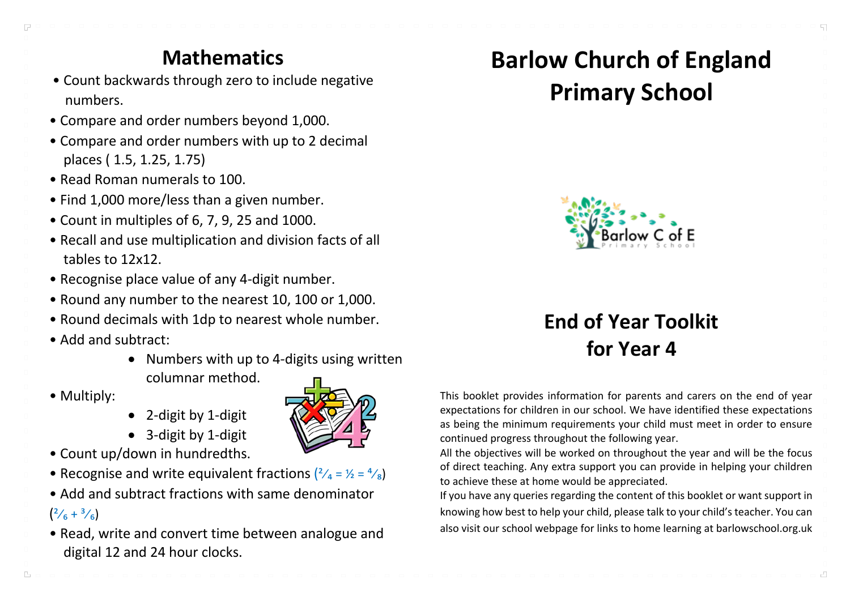# **Mathematics**

- Count backwards through zero to include negative numbers.
- Compare and order numbers beyond 1,000.
- Compare and order numbers with up to 2 decimal places ( 1.5, 1.25, 1.75)
- Read Roman numerals to 100.
- Find 1,000 more/less than a given number.
- Count in multiples of 6, 7, 9, 25 and 1000.
- Recall and use multiplication and division facts of all tables to 12x12.
- Recognise place value of any 4-digit number.
- Round any number to the nearest 10, 100 or 1,000.
- Round decimals with 1dp to nearest whole number.
- Add and subtract:
	- Numbers with up to 4-digits using written columnar method.
- Multiply:
- 2-digit by 1-digit
- 3-digit by 1-digit
- Count up/down in hundredths.
- Recognise and write equivalent fractions  $\left(\frac{2}{4} \frac{1}{2}\right) = \frac{4}{8}$
- Add and subtract fractions with same denominator

#### $\binom{2}{6} + \frac{3}{6}$

 $\Gamma$ 

• Read, write and convert time between analogue and digital 12 and 24 hour clocks.

# **Barlow Church of England Primary School**



# **End of Year Toolkit for Year 4**

This booklet provides information for parents and carers on the end of year expectations for children in our school. We have identified these expectations as being the minimum requirements your child must meet in order to ensure continued progress throughout the following year.

All the objectives will be worked on throughout the year and will be the focus of direct teaching. Any extra support you can provide in helping your children to achieve these at home would be appreciated.

If you have any queries regarding the content of this booklet or want support in knowing how best to help your child, please talk to your child's teacher. You can also visit our school webpage for links to home learning at barlowschool.org.uk